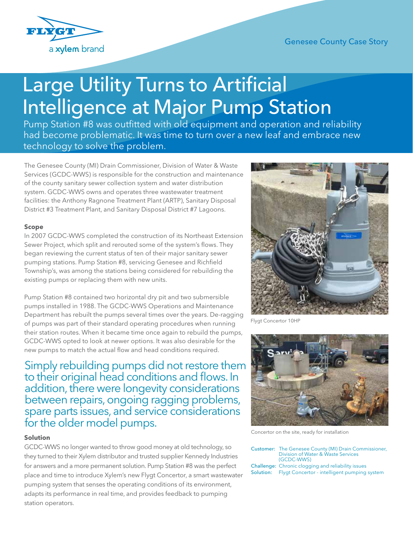

## Genesee County Case Story

# Large Utility Turns to Artificial Intelligence at Major Pump Station

Pump Station #8 was outfitted with old equipment and operation and reliability had become problematic. It was time to turn over a new leaf and embrace new technology to solve the problem.

The Genesee County (MI) Drain Commissioner, Division of Water & Waste Services (GCDC-WWS) is responsible for the construction and maintenance of the county sanitary sewer collection system and water distribution system. GCDC-WWS owns and operates three wastewater treatment facilities: the Anthony Ragnone Treatment Plant (ARTP), Sanitary Disposal District #3 Treatment Plant, and Sanitary Disposal District #7 Lagoons.

### **Scope**

In 2007 GCDC-WWS completed the construction of its Northeast Extension Sewer Project, which split and rerouted some of the system's flows. They began reviewing the current status of ten of their major sanitary sewer pumping stations. Pump Station #8, servicing Genesee and Richfield Township's, was among the stations being considered for rebuilding the existing pumps or replacing them with new units.

Pump Station #8 contained two horizontal dry pit and two submersible pumps installed in 1988. The GCDC-WWS Operations and Maintenance Department has rebuilt the pumps several times over the years. De-ragging of pumps was part of their standard operating procedures when running their station routes. When it became time once again to rebuild the pumps, GCDC-WWS opted to look at newer options. It was also desirable for the new pumps to match the actual flow and head conditions required.

Simply rebuilding pumps did not restore them to their original head conditions and flows. In addition, there were longevity considerations between repairs, ongoing ragging problems, spare parts issues, and service considerations for the older model pumps.

#### **Solution**

GCDC-WWS no longer wanted to throw good money at old technology, so they turned to their Xylem distributor and trusted supplier Kennedy Industries for answers and a more permanent solution. Pump Station #8 was the perfect place and time to introduce Xylem's new Flygt Concertor, a smart wastewater pumping system that senses the operating conditions of its environment, adapts its performance in real time, and provides feedback to pumping station operators.



Flygt Concertor 10HP



Concertor on the site, ready for installation

| <b>Customer:</b> The Genesee County (MI) Drain Commissioner,<br>Division of Water & Waste Services<br>(GCDC-WWS)    |
|---------------------------------------------------------------------------------------------------------------------|
| <b>Challenge:</b> Chronic clogging and reliability issues<br>Solution: Flygt Concertor - intelligent pumping system |